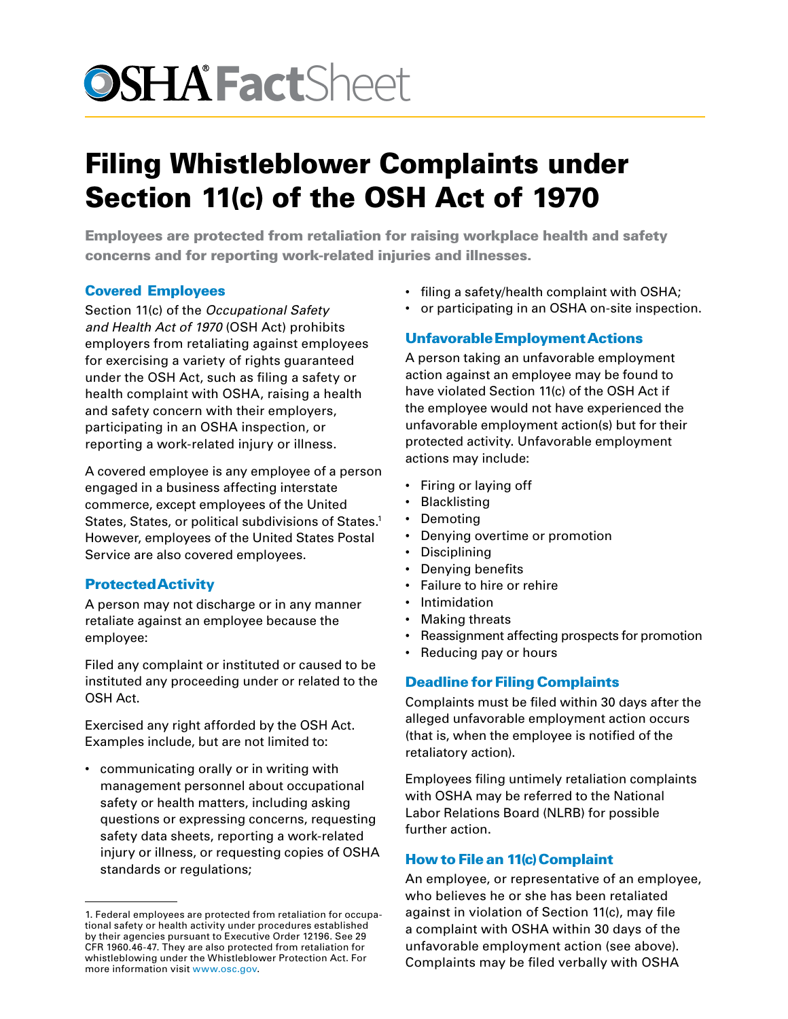# **OSHA Fact**Sheet

# Filing Whistleblower Complaints under Section 11(c) of the OSH Act of 1970

Employees are protected from retaliation for raising workplace health and safety concerns and for reporting work-related injuries and illnesses.

## Covered Employees

Section 11(c) of the *Occupational Safety and Health Act of 1970* (OSH Act) prohibits employers from retaliating against employees for exercising a variety of rights guaranteed under the OSH Act, such as filing a safety or health complaint with OSHA, raising a health and safety concern with their employers, participating in an OSHA inspection, or reporting a work-related injury or illness.

A covered employee is any employee of a person engaged in a business affecting interstate commerce, except employees of the United States, States, or political subdivisions of States.<sup>1</sup> However, employees of the United States Postal Service are also covered employees.

### Protected Activity

A person may not discharge or in any manner retaliate against an employee because the employee:

Filed any complaint or instituted or caused to be instituted any proceeding under or related to the OSH Act.

Exercised any right afforded by the OSH Act. Examples include, but are not limited to:

• communicating orally or in writing with management personnel about occupational safety or health matters, including asking questions or expressing concerns, requesting safety data sheets, reporting a work-related injury or illness, or requesting copies of OSHA standards or regulations;

- filing a safety/health complaint with OSHA;
- or participating in an OSHA on-site inspection.

### Unfavorable Employment Actions

A person taking an unfavorable employment action against an employee may be found to have violated Section 11(c) of the OSH Act if the employee would not have experienced the unfavorable employment action(s) but for their protected activity. Unfavorable employment actions may include:

- Firing or laying off
- **Blacklisting**
- Demoting
- Denying overtime or promotion
- Disciplining
- Denying benefits
- Failure to hire or rehire
- Intimidation
- Making threats
- Reassignment affecting prospects for promotion
- Reducing pay or hours

### Deadline for Filing Complaints

Complaints must be filed within 30 days after the alleged unfavorable employment action occurs (that is, when the employee is notified of the retaliatory action).

Employees filing untimely retaliation complaints with OSHA may be referred to the National Labor Relations Board (NLRB) for possible further action.

### How to File an 11(c) Complaint

An employee, or representative of an employee, who believes he or she has been retaliated against in violation of Section 11(c), may file a complaint with OSHA within 30 days of the unfavorable employment action (see above). Complaints may be filed verbally with OSHA

<sup>1.</sup> Federal employees are protected from retaliation for occupational safety or health activity under procedures established by their agencies pursuant to Executive Order 12196. See 29 CFR 1960.46-47. They are also protected from retaliation for whistleblowing under the Whistleblower Protection Act. For more information visit [www.osc.gov.](http://www.osc.gov)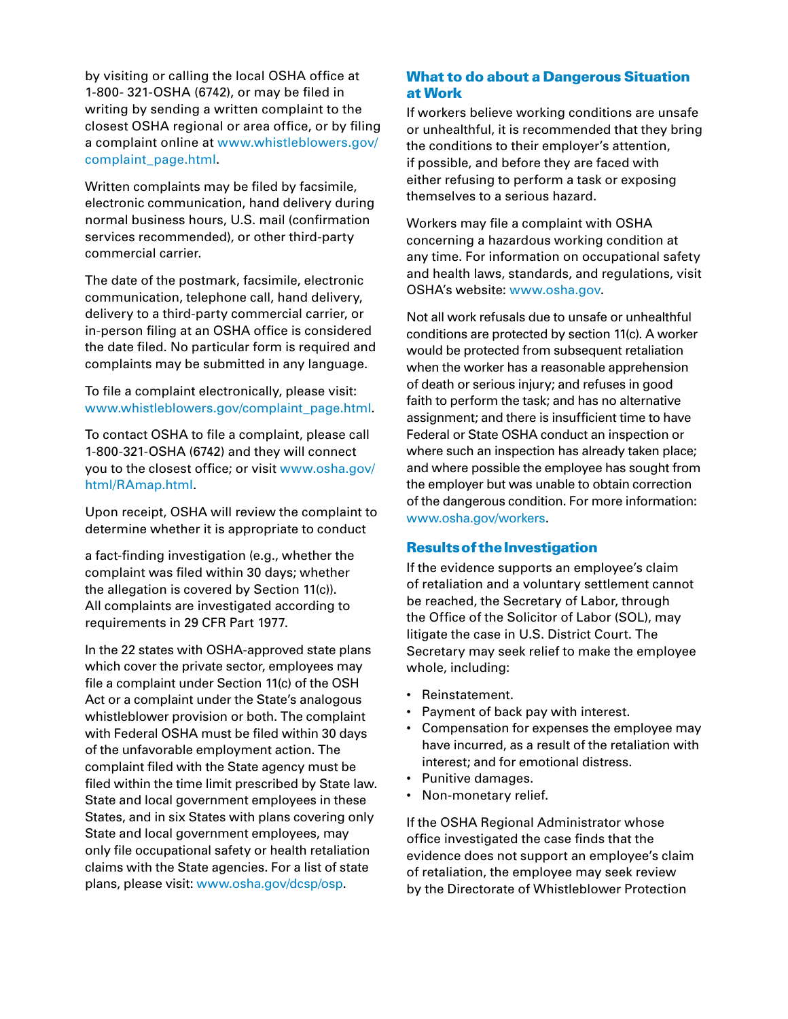by visiting or calling the local OSHA office at 1-800- 321-OSHA (6742), or may be filed in writing by sending a written complaint to the closest OSHA regional or area office, or by filing a complaint online at [www.whistleblowers.gov/](http://www.whistleblowers.gov/complaint_page.html) [complaint\\_page.html.](http://www.whistleblowers.gov/complaint_page.html)

Written complaints may be filed by facsimile, electronic communication, hand delivery during normal business hours, U.S. mail (confirmation services recommended), or other third-party commercial carrier.

The date of the postmark, facsimile, electronic communication, telephone call, hand delivery, delivery to a third-party commercial carrier, or in-person filing at an OSHA office is considered the date filed. No particular form is required and complaints may be submitted in any language.

To file a complaint electronically, please visit: [www.whistleblowers.gov/complaint\\_page.html](http://www.whistleblowers.gov/complaint_page.html).

To contact OSHA to file a complaint, please call 1-800-321-OSHA (6742) and they will connect you to the closest office; or visit [www.osha.gov/](http://www.osha.gov/html/RAmap.html) [html/RAmap.html.](http://www.osha.gov/html/RAmap.html)

Upon receipt, OSHA will review the complaint to determine whether it is appropriate to conduct

a fact-finding investigation (e.g., whether the complaint was filed within 30 days; whether the allegation is covered by Section 11(c)). All complaints are investigated according to requirements in 29 CFR Part 1977.

In the 22 states with OSHA-approved state plans which cover the private sector, employees may file a complaint under Section 11(c) of the OSH Act or a complaint under the State's analogous whistleblower provision or both. The complaint with Federal OSHA must be filed within 30 days of the unfavorable employment action. The complaint filed with the State agency must be filed within the time limit prescribed by State law. State and local government employees in these States, and in six States with plans covering only State and local government employees, may only file occupational safety or health retaliation claims with the State agencies. For a list of state plans, please visit: [www.osha.gov/dcsp/osp.](http://www.osha.gov/dcsp/osp/index.html)

#### What to do about a Dangerous Situation at Work

If workers believe working conditions are unsafe or unhealthful, it is recommended that they bring the conditions to their employer's attention, if possible, and before they are faced with either refusing to perform a task or exposing themselves to a serious hazard.

Workers may [file a complaint](https://www.osha.gov/as/opa/worker/complain.html) with OSHA concerning a hazardous working condition at any time. For information on occupational safety and health laws, standards, and regulations, visit OSHA's website: [www.osha.gov.](http://www.osha.gov/)

Not all work refusals due to unsafe or unhealthful conditions are protected by section 11(c). A worker would be protected from subsequent retaliation when the worker has a reasonable apprehension of death or serious injury; and refuses in good faith to perform the task; and has no alternative assignment; and there is insufficient time to have Federal or State OSHA conduct an inspection or where such an inspection has already taken place; and where possible the employee has sought from the employer but was unable to obtain correction of the dangerous condition. For more information: [www.osha.gov/workers.](http://www.osha.gov/worker)

#### Results of the Investigation

If the evidence supports an employee's claim of retaliation and a voluntary settlement cannot be reached, the Secretary of Labor, through the Office of the Solicitor of Labor (SOL), may litigate the case in U.S. District Court. The Secretary may seek relief to make the employee whole, including:

- Reinstatement.
- Payment of back pay with interest.
- Compensation for expenses the employee may have incurred, as a result of the retaliation with interest; and for emotional distress.
- Punitive damages.
- Non-monetary relief.

If the OSHA Regional Administrator whose office investigated the case finds that the evidence does not support an employee's claim of retaliation, the employee may seek review by the Directorate of Whistleblower Protection